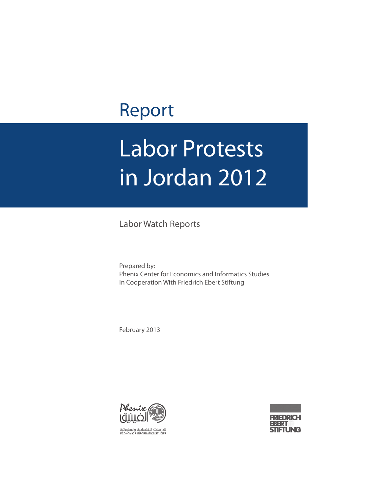## Report

# Labor Protests in Jordan 2012

Labor Watch Reports

Prepared by: Phenix Center for Economics and Informatics Studies In Cooperation With Friedrich Ebert Stiftung

February 2013





للدراسات اللقتصادية والمعلوماتية<br>ECONOMIC & INFORMATICS STUDIES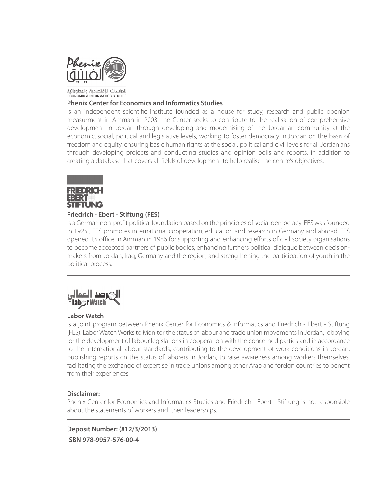

#### للدراسات الإقتصادية والوعلوواتية **ECONOMIC & INFORMATICS STUDIES**

#### **Phenix Center for Economics and Informatics Studies**

Is an independent scientific institute founded as a house for study, research and public openion measurment in Amman in 2003. the Center seeks to contribute to the realisation of comprehensive development in Jordan through developing and modernising of the Jordanian community at the economic, social, political and legislative levels, working to foster democracy in Jordan on the basis of freedom and equity, ensuring basic human rights at the social, political and civil levels for all Jordanians through developing projects and conducting studies and opinion polls and reports, in addition to creating a database that covers all fields of development to help realise the centre's objectives.



#### **Friedrich - Ebert - Stiftung (FES)**

Is a German non-profit political foundation based on the principles of social democracy. FES was founded in 1925 , FES promotes international cooperation, education and research in Germany and abroad. FES opened it's office in Amman in 1986 for supporting and enhancing efforts of civil society organisations to become accepted partners of public bodies, enhancing furthers political dialogue between decisionmakers from Jordan, Iraq, Germany and the region, and strengthening the participation of youth in the political process.



#### **Labor Watch**

Is a joint program between Phenix Center for Economics & Informatics and Friedrich - Ebert - Stiftung (FES). Labor Watch Works to Monitor the status of labour and trade union movements in Jordan, lobbying for the development of labour legislations in cooperation with the concerned parties and in accordance to the international labour standards, contributing to the development of work conditions in Jordan, publishing reports on the status of laborers in Jordan, to raise awareness among workers themselves, facilitating the exchange of expertise in trade unions among other Arab and foreign countries to benefit from their experiences.

#### **Disclaimer:**

Phenix Center for Economics and Informatics Studies and Friedrich - Ebert - Stiftung is not responsible about the statements of workers and their leaderships.

**Deposit Number: (812/3/2013) ISBN 978-9957-576-00-4**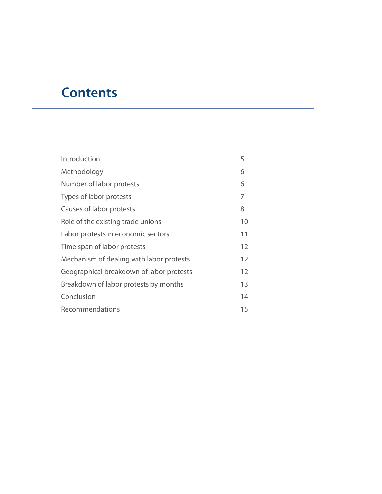## **Contents**

| Introduction                             | 5  |
|------------------------------------------|----|
| Methodology                              | 6  |
| Number of labor protests                 | 6  |
| Types of labor protests                  | 7  |
| Causes of labor protests                 | 8  |
| Role of the existing trade unions        | 10 |
| Labor protests in economic sectors       | 11 |
| Time span of labor protests              | 12 |
| Mechanism of dealing with labor protests | 12 |
| Geographical breakdown of labor protests | 12 |
| Breakdown of labor protests by months    | 13 |
| Conclusion                               | 14 |
| Recommendations                          | 15 |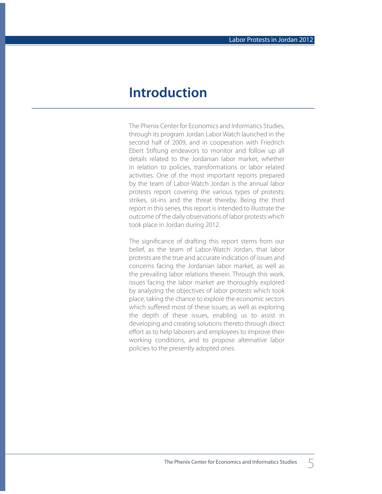## **Introduction**

The Phenix Center for Economics and Informatics Studies, through its program Jordan Labor Watch launched in the second half of 2009, and in cooperation with Friedrich Ebert Stiftung endeavors to monitor and follow up all details related to the Jordanian labor market, whether in relation to policies, transformations or labor related activities. One of the most important reports prepared by the team of Labor-Watch Jordan is the annual labor protests report covering the various types of protests: strikes, sit-ins and the threat thereby. Being the third report in this series, this report is intended to illustrate the outcome of the daily observations of labor protests which took place in Jordan during 2012.

The significance of drafting this report stems from our belief, as the team of Labor-Watch Jordan, that labor protests are the true and accurate indication of issues and concerns facing the Jordanian labor market, as well as the prevailing labor relations therein. Through this work, issues facing the labor market are thoroughly explored by analyzing the objectives of labor protests which took place, taking the chance to explore the economic sectors which suffered most of these issues; as well as exploring the depth of these issues, enabling us to assist in developing and creating solutions thereto through direct effort as to help laborers and employees to improve their working conditions, and to propose alternative labor policies to the presently adopted ones.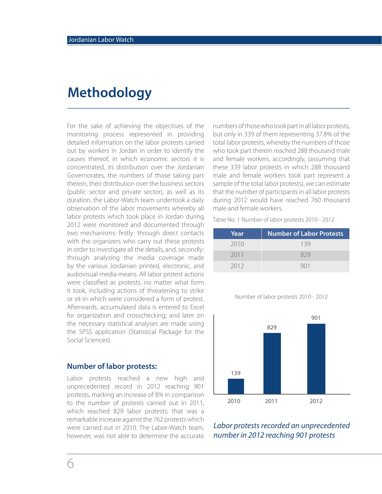## **Methodology**

For the sake of achieving the objectives of the monitoring process represented in providing detailed information on the labor protests carried out by workers in Jordan in order to identify the causes thereof, in which economic sectors it is concentrated, its distribution over the Jordanian Governorates, the numbers of those taking part therein, their distribution over the business sectors (public sector and private sector), as well as its duration, the Labor-Watch team undertook a daily observation of the labor movements whereby all labor protests which took place in Jordan during 2012 were monitored and documented through two mechanisms: firstly: through direct contacts with the organizers who carry out these protests in order to investigate all the details, and, secondly: through analyzing the media coverage made by the various Jordanian printed, electronic, and audiovisual media means. All labor protest actions were classified as protests, no matter what form it took, including actions of threatening to strike or sit-in which were considered a form of protest. Afterwards, accumulated data is entered to Excel for organization and crosschecking; and later on the necessary statistical analyses are made using the SPSS application (Statistical Package for the Social Sciences).

#### **Number of labor protests:**

6

Labor protests reached a new high and unprecedented record in 2012 reaching 901 protests, marking an increase of 8% in comparison to the number of protests carried out in 2011, which reached 829 labor protests; that was a remarkable increase against the 762 protests which were carried out in 2010. The Labor-Watch team, however, was not able to determine the accurate

numbers of those who took part in all labor protests, but only in 339 of them representing 37.8% of the total labor protests, whereby the numbers of those who took part therein reached 288 thousand male and female workers, accordingly, (assuming that these 339 labor protests in which 288 thousand male and female workers took part represent a sample of the total labor protests), we can estimate that the number of participants in all labor protests during 2012 would have reached 760 thousand male and female workers.

Table No. 1 Number of labor protests 2010 - 2012

| Year | <b>Number of Labor Protests</b> |
|------|---------------------------------|
| 2010 | 139                             |
| 2011 | 829                             |
| 2012 |                                 |

Number of labor protests 2010 - 2012



Labor protests recorded an unprecedented number in 2012 reaching 901 protests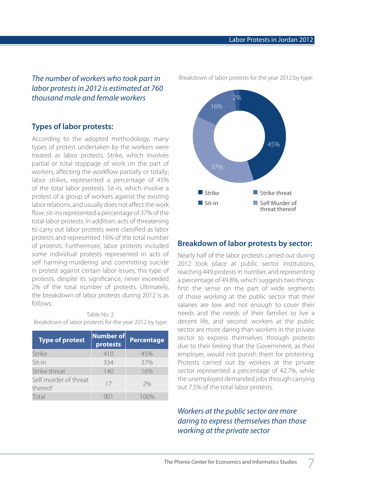The number of workers who took part in labor protests in 2012 is estimated at 760 thousand male and female workers

#### **Types of labor protests:**

According to the adopted methodology, many types of protest undertaken by the workers were treated as labor protests. Strike, which involves partial or total stoppage of work on the part of workers, affecting the workflow partially or totally; labor strikes, represented a percentage of 45% of the total labor protests. Sit-in, which involve a protest of a group of workers against the existing labor relations, and usually does not affect the work flow; sit-ins represented a percentage of 37% of the total labor protests. In addition, acts of threatening to carry out labor protests were classified as labor protests and represented 16% of the total number of protests. Furthermore, labor protests included some individual protests represented in acts of self harming-murdering and committing suicide in protest against certain labor issues; this type of protests, despite its significance, never exceeded 2% of the total number of protests. Ultimately, the breakdown of labor protests during 2012 is as follows:

Table No. 2 Breakdown of labor protests for the year 2012 by type

| <b>Type of protest</b>           | <b>Number of</b><br>protests | <b>Percentage</b> |
|----------------------------------|------------------------------|-------------------|
| <b>Strike</b>                    | 410                          | 45%               |
| Sit-in                           | 334                          | 37%               |
| Strike threat                    | 140                          | 16%               |
| Self murder of threat<br>thereof | 17                           | 7%                |
| Total                            |                              | 1(100)            |

Breakdown of labor protests for the year 2012 by type:



#### **Breakdown of labor protests by sector:**

Nearly half of the labor protests carried out during 2012 took place at public sector institutions, reaching 449 protests in number, and representing a percentage of 49.8%, which suggests two things: first: the sense on the part of wide segments of those working at the public sector that their salaries are low and not enough to cover their needs and the needs of their families to live a decent life, and second: workers at the public sector are more daring than workers in the private sector to express themselves through protests due to their feeling that the Government, as their employer, would not punish them for protesting. Protests carried out by workers at the private sector represented a percentage of 42.7%, while the unemployed demanded jobs through carrying out 7.5% of the total labor protests.

#### Workers at the public sector are more daring to express themselves than those working at the private sector

7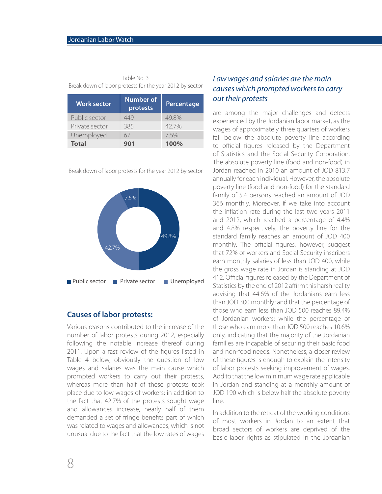| DICAN GOMIL OF RIDOL PROTESTS TOP THE YEAR ZO IZ MY SECTOR |                              |                   |  |
|------------------------------------------------------------|------------------------------|-------------------|--|
| <b>Work sector</b>                                         | <b>Number of</b><br>protests | <b>Percentage</b> |  |
| Public sector                                              | 449                          | 49.8%             |  |
| Private sector                                             | 385                          | 42.7%             |  |
| Unemployed                                                 | 67                           | 7.5%              |  |
| <b>Total</b>                                               | 901                          | 100%              |  |

Table No. 3 Break down of labor protests for the year 2012 by sector

Break down of labor protests for the year 2012 by sector



#### **Causes of labor protests:**

Various reasons contributed to the increase of the number of labor protests during 2012, especially following the notable increase thereof during 2011. Upon a fast review of the figures listed in Table 4 below, obviously the question of low wages and salaries was the main cause which prompted workers to carry out their protests, whereas more than half of these protests took place due to low wages of workers; in addition to the fact that 42.7% of the protests sought wage and allowances increase, nearly half of them demanded a set of fringe benefits part of which was related to wages and allowances; which is not unusual due to the fact that the low rates of wages

#### Law wages and salaries are the main causes which prompted workers to carry out their protests

are among the major challenges and defects experienced by the Jordanian labor market, as the wages of approximately three quarters of workers fall below the absolute poverty line according to official figures released by the Department of Statistics and the Social Security Corporation. The absolute poverty line (food and non-food) in Jordan reached in 2010 an amount of JOD 813.7 annually for each individual. However, the absolute poverty line (food and non-food) for the standard family of 5.4 persons reached an amount of JOD 366 monthly. Moreover, if we take into account the inflation rate during the last two years 2011 and 2012, which reached a percentage of 4.4% and 4.8% respectively, the poverty line for the standard family reaches an amount of JOD 400 monthly. The official figures, however, suggest that 72% of workers and Social Security inscribers earn monthly salaries of less than JOD 400, while the gross wage rate in Jordan is standing at JOD 412. Official figures released by the Department of Statistics by the end of 2012 affirm this harsh reality advising that 44.6% of the Jordanians earn less than JOD 300 monthly; and that the percentage of those who earn less than JOD 500 reaches 89.4% of Jordanian workers; while the percentage of those who earn more than JOD 500 reaches 10.6% only, indicating that the majority of the Jordanian families are incapable of securing their basic food and non-food needs. Nonetheless, a closer review of these figures is enough to explain the intensity of labor protests seeking improvement of wages. Add to that the low minimum wage rate applicable in Jordan and standing at a monthly amount of JOD 190 which is below half the absolute poverty line.

In addition to the retreat of the working conditions of most workers in Jordan to an extent that broad sectors of workers are deprived of the basic labor rights as stipulated in the Jordanian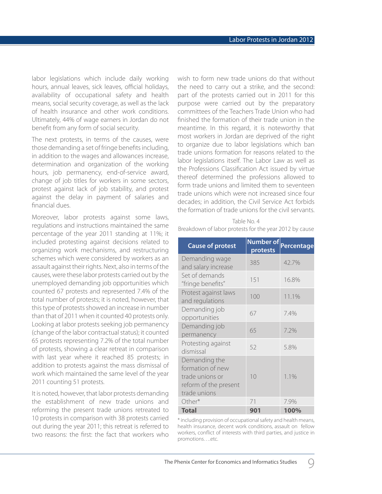labor legislations which include daily working hours, annual leaves, sick leaves, official holidays, availability of occupational safety and health means, social security coverage, as well as the lack of health insurance and other work conditions. Ultimately, 44% of wage earners in Jordan do not benefit from any form of social security.

The next protests, in terms of the causes, were those demanding a set of fringe benefits including, in addition to the wages and allowances increase, determination and organization of the working hours, job permanency, end-of-service award, change of job titles for workers in some sectors, protest against lack of job stability, and protest against the delay in payment of salaries and financial dues.

Moreover, labor protests against some laws, regulations and instructions maintained the same percentage of the year 2011 standing at 11%; it included protesting against decisions related to organizing work mechanisms, and restructuring schemes which were considered by workers as an assault against their rights. Next, also in terms of the causes, were these labor protests carried out by the unemployed demanding job opportunities which counted 67 protests and represented 7.4% of the total number of protests; it is noted, however, that this type of protests showed an increase in number than that of 2011 when it counted 40 protests only. Looking at labor protests seeking job permanency (change of the labor contractual status); it counted 65 protests representing 7.2% of the total number of protests, showing a clear retreat in comparison with last year where it reached 85 protests; in addition to protests against the mass dismissal of work which maintained the same level of the year 2011 counting 51 protests.

It is noted, however, that labor protests demanding the establishment of new trade unions and reforming the present trade unions retreated to 10 protests in comparison with 38 protests carried out during the year 2011; this retreat is referred to two reasons: the first: the fact that workers who

wish to form new trade unions do that without the need to carry out a strike, and the second: part of the protests carried out in 2011 for this purpose were carried out by the preparatory committees of the Teachers Trade Union who had finished the formation of their trade union in the meantime. In this regard, it is noteworthy that most workers in Jordan are deprived of the right to organize due to labor legislations which ban trade unions formation for reasons related to the labor legislations itself. The Labor Law as well as the Professions Classification Act issued by virtue thereof determined the professions allowed to form trade unions and limited them to seventeen trade unions which were not increased since four decades; in addition, the Civil Service Act forbids the formation of trade unions for the civil servants.

|                                                        | Table No. 4 |  |  |
|--------------------------------------------------------|-------------|--|--|
| Breakdown of labor protests for the year 2012 by cause |             |  |  |

| <b>Cause of protest</b>                                                                       | <b>Number of</b><br>protests | Percentage |
|-----------------------------------------------------------------------------------------------|------------------------------|------------|
| Demanding wage<br>and salary increase                                                         | 385                          | 42.7%      |
| Set of demands<br>"fringe benefits"                                                           | 151                          | 16.8%      |
| Protest against laws<br>and regulations                                                       | 100                          | 11.1%      |
| Demanding job<br>opportunities                                                                | 67                           | 7.4%       |
| Demanding job<br>permanency                                                                   | 65                           | 7.2%       |
| Protesting against<br>dismissal                                                               | 52                           | 5.8%       |
| Demanding the<br>formation of new<br>trade unions or<br>reform of the present<br>trade unions | 10                           | 1.1%       |
| Other*                                                                                        | 71                           | 7.9%       |
| <b>Total</b>                                                                                  | 901                          | 100%       |

\* including provision of occupational safety and health means, health insurance, decent work conditions, assault on fellow workers, conflict of interests with third parties, and justice in promotions….etc.

9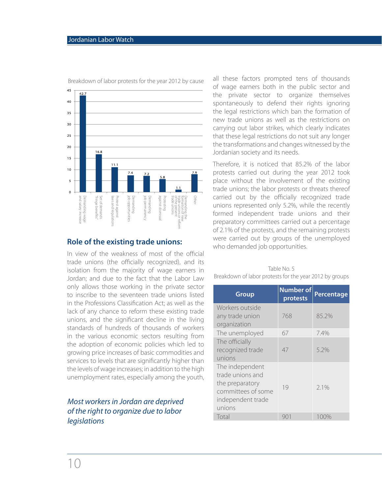

Breakdown of labor protests for the year 2012 by cause

#### **Role of the existing trade unions:**

In view of the weakness of most of the official trade unions (the officially recognized), and its isolation from the majority of wage earners in Jordan; and due to the fact that the Labor Law only allows those working in the private sector to inscribe to the seventeen trade unions listed in the Professions Classification Act; as well as the lack of any chance to reform these existing trade unions, and the significant decline in the living standards of hundreds of thousands of workers in the various economic sectors resulting from the adoption of economic policies which led to growing price increases of basic commodities and services to levels that are significantly higher than the levels of wage increases; in addition to the high unemployment rates, especially among the youth,

#### Most workers in Jordan are deprived of the right to organize due to labor legislations

all these factors prompted tens of thousands of wage earners both in the public sector and the private sector to organize themselves spontaneously to defend their rights ignoring the legal restrictions which ban the formation of new trade unions as well as the restrictions on carrying out labor strikes, which clearly indicates that these legal restrictions do not suit any longer the transformations and changes witnessed by the Jordanian society and its needs.

Therefore, it is noticed that 85.2% of the labor protests carried out during the year 2012 took place without the involvement of the existing trade unions; the labor protests or threats thereof carried out by the officially recognized trade unions represented only 5.2%, while the recently formed independent trade unions and their preparatory committees carried out a percentage of 2.1% of the protests, and the remaining protests were carried out by groups of the unemployed who demanded job opportunities.

|                                                         | Table No. 5 |  |  |  |
|---------------------------------------------------------|-------------|--|--|--|
| Breakdown of labor protests for the year 2012 by groups |             |  |  |  |

| <b>Group</b>                                                                                                | <b>Number of</b><br>protests | <b>Percentage</b> |
|-------------------------------------------------------------------------------------------------------------|------------------------------|-------------------|
| Workers outside<br>any trade union<br>organization                                                          | 768                          | 85.2%             |
| The unemployed                                                                                              | 67                           | 7.4%              |
| The officially<br>recognized trade<br>unions                                                                | 47                           | 5.2%              |
| The independent<br>trade unions and<br>the preparatory<br>committees of some<br>independent trade<br>unions | 19                           | 2.1%              |
| Total                                                                                                       | 901                          | 100%              |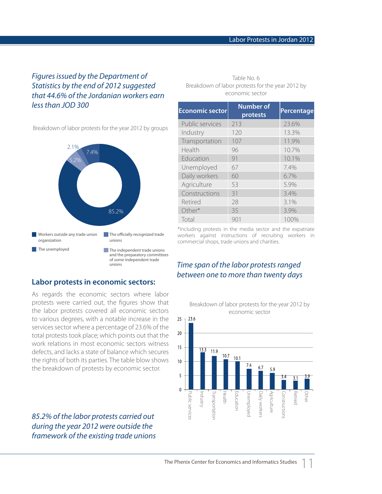#### Figures issued by the Department of Statistics by the end of 2012 suggested that 44.6% of the Jordanian workers earn less than JOD 300

Breakdown of labor protests for the year 2012 by groups



**Labor protests in economic sectors:**

#### Table No. 6 Breakdown of labor protests for the year 2012 by economic sector

| <b>Economic sector</b> | <b>Number of</b><br>protests | <b>Percentage</b> |
|------------------------|------------------------------|-------------------|
| Public services        | 213                          | 23.6%             |
| Industry               | 120                          | 13.3%             |
| Transportation         | 107                          | 11.9%             |
| Health                 | 96                           | 10.7%             |
| Education              | 91                           | 10.1%             |
| Unemployed             | 67                           | 7.4%              |
| Daily workers          | 60                           | 6.7%              |
| Agriculture            | 53                           | 5.9%              |
| Constructions          | 31                           | 3.4%              |
| Retired                | 28                           | 3.1%              |
| Other*                 | 35                           | 3.9%              |
| Total                  | 901                          | 100%              |

\*Including protests in the media sector and the expatriate workers against instructions of recruiting workers in commercial shops, trade unions and charities.

#### Time span of the labor protests ranged between one to more than twenty days



85.2% of the labor protests carried out during the year 2012 were outside the framework of the existing trade unions



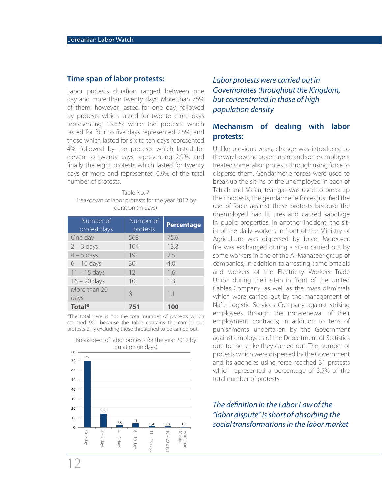#### **Time span of labor protests:**

Labor protests duration ranged between one day and more than twenty days. More than 75% of them, however, lasted for one day; followed by protests which lasted for two to three days representing 13.8%; while the protests which lasted for four to five days represented 2.5%; and those which lasted for six to ten days represented 4%; followed by the protests which lasted for eleven to twenty days representing 2.9%, and finally the eight protests which lasted for twenty days or more and represented 0.9% of the total number of protests.

Table No. 7 Breakdown of labor protests for the year 2012 by duration (in days)

| Number of<br>protest days | Number of<br>protests | <b>Percentage</b> |
|---------------------------|-----------------------|-------------------|
| One day                   | 568                   | 75.6              |
| $2 - 3$ days              | 104                   | 13.8              |
| $4 - 5$ days              | 19                    | 2.5               |
| $6 - 10$ days             | 30                    | 4.0               |
| $11 - 15$ days            | 12                    | 1.6               |
| $16 - 20$ days            | 10                    | 1.3               |
| More than 20<br>days      | 8                     | 1.1               |
| Total*                    | 751                   | 100               |

\*The total here is not the total number of protests which counted 901 because the table contains the carried out protests only excluding those threatened to be carried out.



Breakdown of labor protests for the year 2012 by

### Labor protests were carried out in Governorates throughout the Kingdom, but concentrated in those of high population density

#### **Mechanism of dealing with labor protests:**

Unlike previous years, change was introduced to the way how the government and some employers treated some labor protests through using force to disperse them. Gendarmerie forces were used to break up the sit-ins of the unemployed in each of Tafilah and Ma'an, tear gas was used to break up their protests, the gendarmerie forces justified the use of force against these protests because the unemployed had lit tires and caused sabotage in public properties. In another incident, the sitin of the daily workers in front of the Ministry of Agriculture was dispersed by force. Moreover, fire was exchanged during a sit-in carried out by some workers in one of the Al-Manaseer group of companies; in addition to arresting some officials and workers of the Electricity Workers Trade Union during their sit-in in front of the United Cables Company; as well as the mass dismissals which were carried out by the management of Nafiz Logistic Services Company against striking employees through the non-renewal of their employment contracts; in addition to tens of punishments undertaken by the Government against employees of the Department of Statistics due to the strike they carried out. The number of protests which were dispersed by the Government and its agencies using force reached 31 protests which represented a percentage of 3.5% of the total number of protests.

#### The definition in the Labor Law of the "labor dispute" is short of absorbing the social transformations in the labor market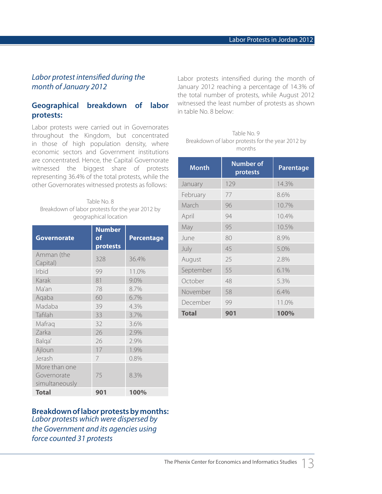#### Labor protest intensified during the month of January 2012

#### **Geographical breakdown of labor protests:**

Labor protests were carried out in Governorates throughout the Kingdom, but concentrated in those of high population density, where economic sectors and Government institutions are concentrated. Hence, the Capital Governorate witnessed the biggest share of protests representing 36.4% of the total protests, while the other Governorates witnessed protests as follows:

Table No. 8 Breakdown of labor protests for the year 2012 by geographical location

| <b>Governorate</b>            | <b>Number</b><br>of<br>protests | <b>Percentage</b> |
|-------------------------------|---------------------------------|-------------------|
| Amman (the<br>Capital)        | 328                             | 36.4%             |
| <b>Irbid</b>                  | 99                              | 11.0%             |
| Karak                         | 81                              | 9.0%              |
| Ma'an                         | 78                              | 8.7%              |
| Agaba                         | 60                              | 6.7%              |
| Madaba                        | 39                              | 4.3%              |
| Tafilah                       | 33                              | 3.7%              |
| Mafraq                        | 32                              | 3.6%              |
| Zarka                         | 26                              | 2.9%              |
| Balqa'                        | 26                              | 2.9%              |
| Ajloun                        | 17                              | 1.9%              |
| Jerash                        | 7                               | 0.8%              |
| More than one                 |                                 |                   |
| Governorate<br>simultaneously | 75                              | 8.3%              |
| <b>Total</b>                  | 901                             | 100%              |

Labor protests intensified during the month of January 2012 reaching a percentage of 14.3% of the total number of protests, while August 2012 witnessed the least number of protests as shown in table No. 8 below:

| <b>Month</b> | <b>Number of</b><br>protests | <b>Parentage</b> |
|--------------|------------------------------|------------------|
| January      | 129                          | 14.3%            |
| February     | 77                           | 8.6%             |
| March        | 96                           | 10.7%            |
| April        | 94                           | 10.4%            |
| May          | 95                           | 10.5%            |
| June         | 80                           | 8.9%             |
| July         | 45                           | 5.0%             |
| August       | 25                           | 2.8%             |
| September    | 55                           | 6.1%             |
| October      | 48                           | 5.3%             |
| November     | 58                           | 6.4%             |
| December     | 99                           | 11.0%            |
| <b>Total</b> | 901                          | 100%             |

Table No. 9 Breakdown of labor protests for the year 2012 by months

### **Breakdown of labor protests by months:**

Labor protests which were dispersed by the Government and its agencies using force counted 31 protests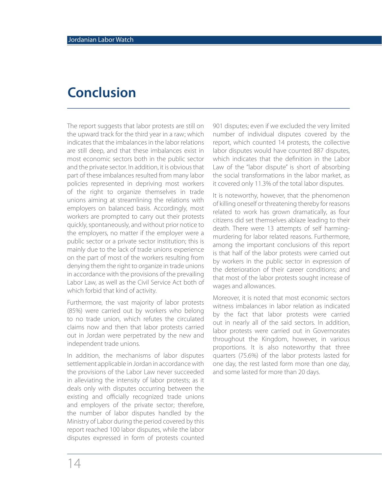## **Conclusion**

The report suggests that labor protests are still on the upward track for the third year in a raw; which indicates that the imbalances in the labor relations are still deep, and that these imbalances exist in most economic sectors both in the public sector and the private sector. In addition, it is obvious that part of these imbalances resulted from many labor policies represented in depriving most workers of the right to organize themselves in trade unions aiming at streamlining the relations with employers on balanced basis. Accordingly, most workers are prompted to carry out their protests quickly, spontaneously, and without prior notice to the employers, no matter if the employer were a public sector or a private sector institution; this is mainly due to the lack of trade unions experience on the part of most of the workers resulting from denying them the right to organize in trade unions in accordance with the provisions of the prevailing Labor Law, as well as the Civil Service Act both of which forbid that kind of activity.

Furthermore, the vast majority of labor protests (85%) were carried out by workers who belong to no trade union, which refutes the circulated claims now and then that labor protests carried out in Jordan were perpetrated by the new and independent trade unions.

In addition, the mechanisms of labor disputes settlement applicable in Jordan in accordance with the provisions of the Labor Law never succeeded in alleviating the intensity of labor protests; as it deals only with disputes occurring between the existing and officially recognized trade unions and employers of the private sector; therefore, the number of labor disputes handled by the Ministry of Labor during the period covered by this report reached 100 labor disputes, while the labor disputes expressed in form of protests counted

901 disputes; even if we excluded the very limited number of individual disputes covered by the report, which counted 14 protests, the collective labor disputes would have counted 887 disputes, which indicates that the definition in the Labor Law of the "labor dispute" is short of absorbing the social transformations in the labor market, as it covered only 11.3% of the total labor disputes.

It is noteworthy, however, that the phenomenon of killing oneself or threatening thereby for reasons related to work has grown dramatically, as four citizens did set themselves ablaze leading to their death. There were 13 attempts of self harmingmurdering for labor related reasons. Furthermore, among the important conclusions of this report is that half of the labor protests were carried out by workers in the public sector in expression of the deterioration of their career conditions; and that most of the labor protests sought increase of wages and allowances.

Moreover, it is noted that most economic sectors witness imbalances in labor relation as indicated by the fact that labor protests were carried out in nearly all of the said sectors. In addition, labor protests were carried out in Governorates throughout the Kingdom, however, in various proportions. It is also noteworthy that three quarters (75.6%) of the labor protests lasted for one day, the rest lasted form more than one day, and some lasted for more than 20 days.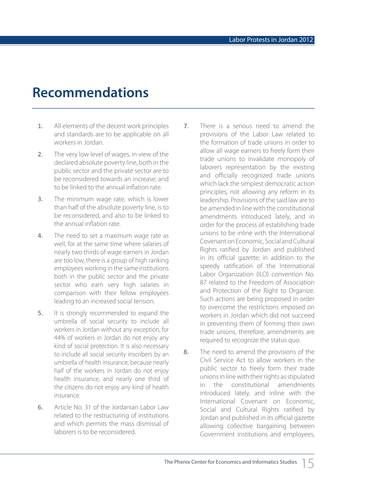## **Recommendations**

- 1. All elements of the decent work principles and standards are to be applicable on all workers in Jordan.
- 2. The very low level of wages, in view of the declared absolute poverty line, both in the public sector and the private sector are to be reconsidered towards an increase; and to be linked to the annual inflation rate.
- 3. The minimum wage rate, which is lower than half of the absolute poverty line, is to be reconsidered, and also to be linked to the annual inflation rate.
- 4. The need to set a maximum wage rate as well, for at the same time where salaries of nearly two thirds of wage earners in Jordan are too low, there is a group of high ranking employees working in the same institutions both in the public sector and the private sector who earn very high salaries in comparison with their fellow employees leading to an increased social tension.
- 5. It is strongly recommended to expand the umbrella of social security to include all workers in Jordan without any exception, for 44% of workers in Jordan do not enjoy any kind of social protection. It is also necessary to include all social security inscribers by an umbrella of health insurance, because nearly half of the workers in Jordan do not enjoy health insurance, and nearly one third of the citizens do not enjoy any kind of health insurance.
- 6. Article No. 31 of the Jordanian Labor Law related to the restructuring of institutions and which permits the mass dismissal of laborers is to be reconsidered.
- 7. There is a serious need to amend the provisions of the Labor Law related to the formation of trade unions in order to allow all wage earners to freely form their trade unions to invalidate monopoly of laborers representation by the existing and officially recognized trade unions which lack the simplest democratic action principles, not allowing any reform in its leadership. Provisions of the said law are to be amended in line with the constitutional amendments introduced lately, and in order for the process of establishing trade unions to be inline with the International Covenant on Economic, Social and Cultural Rights ratified by Jordan and published in its official gazette; in addition to the speedy ratification of the International Labor Organization (ILO) convention No. 87 related to the Freedom of Association and Protection of the Right to Organize. Such actions are being proposed in order to overcome the restrictions imposed on workers in Jordan which did not succeed in preventing them of forming their own trade unions, therefore, amendments are required to recognize the status quo.
- 8. The need to amend the provisions of the Civil Service Act to allow workers in the public sector to freely form their trade unions in line with their rights as stipulated in the constitutional amendments introduced lately, and inline with the International Covenant on Economic, Social and Cultural Rights ratified by Jordan and published in its official gazette allowing collective bargaining between Government institutions and employees,